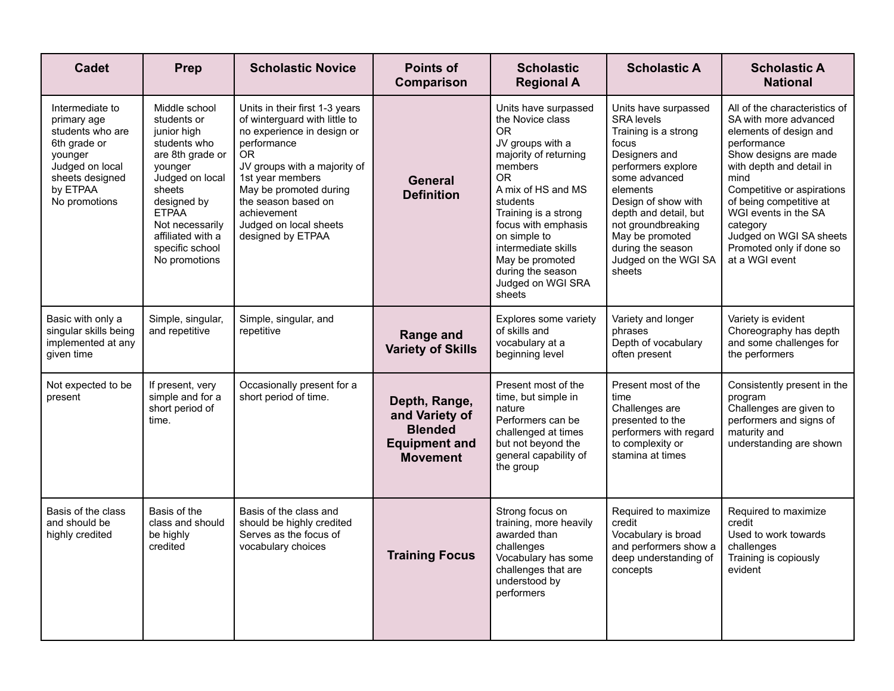| <b>Cadet</b>                                                                                                                                     | Prep                                                                                                                                                                                                                               | <b>Scholastic Novice</b>                                                                                                                                                                                                                                                              | <b>Points of</b><br>Comparison                                                               | <b>Scholastic</b><br><b>Regional A</b>                                                                                                                                                                                                                                                                              | <b>Scholastic A</b>                                                                                                                                                                                                                                                                            | <b>Scholastic A</b><br><b>National</b>                                                                                                                                                                                                                                                                                             |
|--------------------------------------------------------------------------------------------------------------------------------------------------|------------------------------------------------------------------------------------------------------------------------------------------------------------------------------------------------------------------------------------|---------------------------------------------------------------------------------------------------------------------------------------------------------------------------------------------------------------------------------------------------------------------------------------|----------------------------------------------------------------------------------------------|---------------------------------------------------------------------------------------------------------------------------------------------------------------------------------------------------------------------------------------------------------------------------------------------------------------------|------------------------------------------------------------------------------------------------------------------------------------------------------------------------------------------------------------------------------------------------------------------------------------------------|------------------------------------------------------------------------------------------------------------------------------------------------------------------------------------------------------------------------------------------------------------------------------------------------------------------------------------|
| Intermediate to<br>primary age<br>students who are<br>6th grade or<br>younger<br>Judged on local<br>sheets designed<br>by ETPAA<br>No promotions | Middle school<br>students or<br>junior high<br>students who<br>are 8th grade or<br>younger<br>Judged on local<br>sheets<br>designed by<br><b>ETPAA</b><br>Not necessarily<br>affiliated with a<br>specific school<br>No promotions | Units in their first 1-3 years<br>of winterguard with little to<br>no experience in design or<br>performance<br>0R<br>JV groups with a majority of<br>1st year members<br>May be promoted during<br>the season based on<br>achievement<br>Judged on local sheets<br>designed by ETPAA | <b>General</b><br><b>Definition</b>                                                          | Units have surpassed<br>the Novice class<br>OR.<br>JV groups with a<br>majority of returning<br>members<br><b>OR</b><br>A mix of HS and MS<br>students<br>Training is a strong<br>focus with emphasis<br>on simple to<br>intermediate skills<br>May be promoted<br>during the season<br>Judged on WGI SRA<br>sheets | Units have surpassed<br><b>SRA</b> levels<br>Training is a strong<br>focus<br>Designers and<br>performers explore<br>some advanced<br>elements<br>Design of show with<br>depth and detail, but<br>not groundbreaking<br>May be promoted<br>during the season<br>Judged on the WGI SA<br>sheets | All of the characteristics of<br>SA with more advanced<br>elements of design and<br>performance<br>Show designs are made<br>with depth and detail in<br>mind<br>Competitive or aspirations<br>of being competitive at<br>WGI events in the SA<br>category<br>Judged on WGI SA sheets<br>Promoted only if done so<br>at a WGI event |
| Basic with only a<br>singular skills being<br>implemented at any<br>given time                                                                   | Simple, singular,<br>and repetitive                                                                                                                                                                                                | Simple, singular, and<br>repetitive                                                                                                                                                                                                                                                   | Range and<br><b>Variety of Skills</b>                                                        | Explores some variety<br>of skills and<br>vocabulary at a<br>beginning level                                                                                                                                                                                                                                        | Variety and longer<br>phrases<br>Depth of vocabulary<br>often present                                                                                                                                                                                                                          | Variety is evident<br>Choreography has depth<br>and some challenges for<br>the performers                                                                                                                                                                                                                                          |
| Not expected to be<br>present                                                                                                                    | If present, very<br>simple and for a<br>short period of<br>time.                                                                                                                                                                   | Occasionally present for a<br>short period of time.                                                                                                                                                                                                                                   | Depth, Range,<br>and Variety of<br><b>Blended</b><br><b>Equipment and</b><br><b>Movement</b> | Present most of the<br>time, but simple in<br>nature<br>Performers can be<br>challenged at times<br>but not beyond the<br>general capability of<br>the group                                                                                                                                                        | Present most of the<br>time<br>Challenges are<br>presented to the<br>performers with regard<br>to complexity or<br>stamina at times                                                                                                                                                            | Consistently present in the<br>program<br>Challenges are given to<br>performers and signs of<br>maturity and<br>understanding are shown                                                                                                                                                                                            |
| Basis of the class<br>and should be<br>highly credited                                                                                           | Basis of the<br>class and should<br>be highly<br>credited                                                                                                                                                                          | Basis of the class and<br>should be highly credited<br>Serves as the focus of<br>vocabulary choices                                                                                                                                                                                   | <b>Training Focus</b>                                                                        | Strong focus on<br>training, more heavily<br>awarded than<br>challenges<br>Vocabulary has some<br>challenges that are<br>understood by<br>performers                                                                                                                                                                | Required to maximize<br>credit<br>Vocabulary is broad<br>and performers show a<br>deep understanding of<br>concepts                                                                                                                                                                            | Required to maximize<br>credit<br>Used to work towards<br>challenges<br>Training is copiously<br>evident                                                                                                                                                                                                                           |